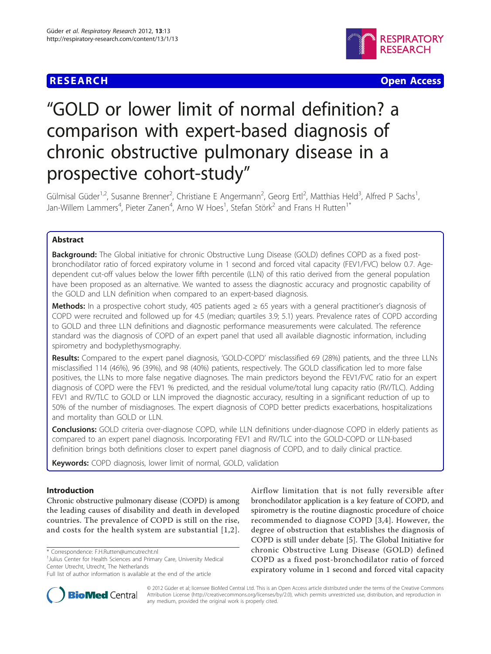# **RESEARCH CONTROL** CONTROL CONTROL CONTROL CONTROL CONTROL CONTROL CONTROL CONTROL CONTROL CONTROL CONTROL CONTROL CONTROL CONTROL CONTROL CONTROL CONTROL CONTROL CONTROL CONTROL CONTROL CONTROL CONTROL CONTROL CONTROL CON



# "GOLD or lower limit of normal definition? a comparison with expert-based diagnosis of chronic obstructive pulmonary disease in a prospective cohort-study"

Gülmisal Güder<sup>1,2</sup>, Susanne Brenner<sup>2</sup>, Christiane E Angermann<sup>2</sup>, Georg Ertl<sup>2</sup>, Matthias Held<sup>3</sup>, Alfred P Sachs<sup>1</sup> , Jan-Willem Lammers<sup>4</sup>, Pieter Zanen<sup>4</sup>, Arno W Hoes<sup>1</sup>, Stefan Störk<sup>2</sup> and Frans H Rutten<sup>1\*</sup>

# Abstract

Background: The Global initiative for chronic Obstructive Lung Disease (GOLD) defines COPD as a fixed postbronchodilator ratio of forced expiratory volume in 1 second and forced vital capacity (FEV1/FVC) below 0.7. Agedependent cut-off values below the lower fifth percentile (LLN) of this ratio derived from the general population have been proposed as an alternative. We wanted to assess the diagnostic accuracy and prognostic capability of the GOLD and LLN definition when compared to an expert-based diagnosis.

Methods: In a prospective cohort study, 405 patients aged ≥ 65 years with a general practitioner's diagnosis of COPD were recruited and followed up for 4.5 (median; quartiles 3.9; 5.1) years. Prevalence rates of COPD according to GOLD and three LLN definitions and diagnostic performance measurements were calculated. The reference standard was the diagnosis of COPD of an expert panel that used all available diagnostic information, including spirometry and bodyplethysmography.

Results: Compared to the expert panel diagnosis, 'GOLD-COPD' misclassified 69 (28%) patients, and the three LLNs misclassified 114 (46%), 96 (39%), and 98 (40%) patients, respectively. The GOLD classification led to more false positives, the LLNs to more false negative diagnoses. The main predictors beyond the FEV1/FVC ratio for an expert diagnosis of COPD were the FEV1 % predicted, and the residual volume/total lung capacity ratio (RV/TLC). Adding FEV1 and RV/TLC to GOLD or LLN improved the diagnostic accuracy, resulting in a significant reduction of up to 50% of the number of misdiagnoses. The expert diagnosis of COPD better predicts exacerbations, hospitalizations and mortality than GOLD or LLN.

**Conclusions:** GOLD criteria over-diagnose COPD, while LLN definitions under-diagnose COPD in elderly patients as compared to an expert panel diagnosis. Incorporating FEV1 and RV/TLC into the GOLD-COPD or LLN-based definition brings both definitions closer to expert panel diagnosis of COPD, and to daily clinical practice.

Keywords: COPD diagnosis, lower limit of normal, GOLD, validation

# Introduction

Chronic obstructive pulmonary disease (COPD) is among the leading causes of disability and death in developed countries. The prevalence of COPD is still on the rise, and costs for the health system are substantial [[1,2\]](#page-7-0).

<sup>1</sup>Julius Center for Health Sciences and Primary Care, University Medical Center Utrecht, Utrecht, The Netherlands

Full list of author information is available at the end of the article





© 2012 Güder et al; licensee BioMed Central Ltd. This is an Open Access article distributed under the terms of the Creative Commons Attribution License [\(http://creativecommons.org/licenses/by/2.0](http://creativecommons.org/licenses/by/2.0)), which permits unrestricted use, distribution, and reproduction in any medium, provided the original work is properly cited.

<sup>\*</sup> Correspondence: [F.H.Rutten@umcutrecht.nl](mailto:F.H.Rutten@umcutrecht.nl)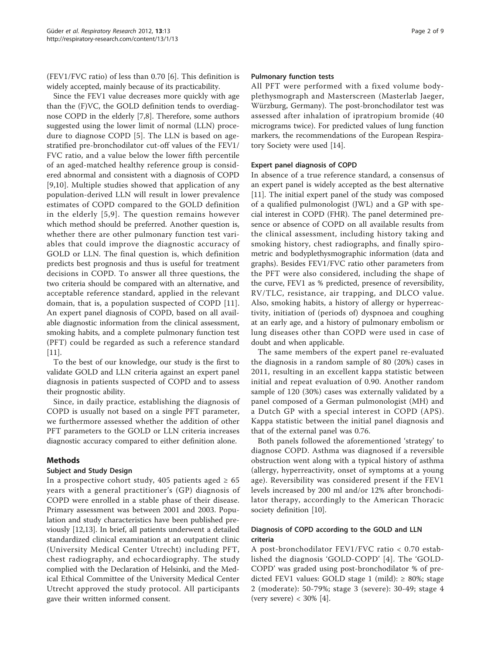(FEV1/FVC ratio) of less than 0.70 [[6\]](#page-7-0). This definition is widely accepted, mainly because of its practicability.

Since the FEV1 value decreases more quickly with age than the (F)VC, the GOLD definition tends to overdiagnose COPD in the elderly [\[7,8](#page-8-0)]. Therefore, some authors suggested using the lower limit of normal (LLN) procedure to diagnose COPD [\[5](#page-7-0)]. The LLN is based on agestratified pre-bronchodilator cut-off values of the FEV1/ FVC ratio, and a value below the lower fifth percentile of an aged-matched healthy reference group is considered abnormal and consistent with a diagnosis of COPD [[9,10](#page-8-0)]. Multiple studies showed that application of any population-derived LLN will result in lower prevalence estimates of COPD compared to the GOLD definition in the elderly [[5](#page-7-0),[9](#page-8-0)]. The question remains however which method should be preferred. Another question is, whether there are other pulmonary function test variables that could improve the diagnostic accuracy of GOLD or LLN. The final question is, which definition predicts best prognosis and thus is useful for treatment decisions in COPD. To answer all three questions, the two criteria should be compared with an alternative, and acceptable reference standard, applied in the relevant domain, that is, a population suspected of COPD [[11](#page-8-0)]. An expert panel diagnosis of COPD, based on all available diagnostic information from the clinical assessment, smoking habits, and a complete pulmonary function test (PFT) could be regarded as such a reference standard [[11\]](#page-8-0).

To the best of our knowledge, our study is the first to validate GOLD and LLN criteria against an expert panel diagnosis in patients suspected of COPD and to assess their prognostic ability.

Since, in daily practice, establishing the diagnosis of COPD is usually not based on a single PFT parameter, we furthermore assessed whether the addition of other PFT parameters to the GOLD or LLN criteria increases diagnostic accuracy compared to either definition alone.

## Methods

## Subject and Study Design

In a prospective cohort study, 405 patients aged  $\geq 65$ years with a general practitioner's (GP) diagnosis of COPD were enrolled in a stable phase of their disease. Primary assessment was between 2001 and 2003. Population and study characteristics have been published previously [\[12,13\]](#page-8-0). In brief, all patients underwent a detailed standardized clinical examination at an outpatient clinic (University Medical Center Utrecht) including PFT, chest radiography, and echocardiography. The study complied with the Declaration of Helsinki, and the Medical Ethical Committee of the University Medical Center Utrecht approved the study protocol. All participants gave their written informed consent.

#### Pulmonary function tests

All PFT were performed with a fixed volume bodyplethysmograph and Masterscreen (Masterlab Jaeger, Würzburg, Germany). The post-bronchodilator test was assessed after inhalation of ipratropium bromide (40 micrograms twice). For predicted values of lung function markers, the recommendations of the European Respiratory Society were used [[14\]](#page-8-0).

# Expert panel diagnosis of COPD

In absence of a true reference standard, a consensus of an expert panel is widely accepted as the best alternative [[11\]](#page-8-0). The initial expert panel of the study was composed of a qualified pulmonologist (JWL) and a GP with special interest in COPD (FHR). The panel determined presence or absence of COPD on all available results from the clinical assessment, including history taking and smoking history, chest radiographs, and finally spirometric and bodyplethysmographic information (data and graphs). Besides FEV1/FVC ratio other parameters from the PFT were also considered, including the shape of the curve, FEV1 as % predicted, presence of reversibility, RV/TLC, resistance, air trapping, and DLCO value. Also, smoking habits, a history of allergy or hyperreactivity, initiation of (periods of) dyspnoea and coughing at an early age, and a history of pulmonary embolism or lung diseases other than COPD were used in case of doubt and when applicable.

The same members of the expert panel re-evaluated the diagnosis in a random sample of 80 (20%) cases in 2011, resulting in an excellent kappa statistic between initial and repeat evaluation of 0.90. Another random sample of 120 (30%) cases was externally validated by a panel composed of a German pulmonologist (MH) and a Dutch GP with a special interest in COPD (APS). Kappa statistic between the initial panel diagnosis and that of the external panel was 0.76.

Both panels followed the aforementioned 'strategy' to diagnose COPD. Asthma was diagnosed if a reversible obstruction went along with a typical history of asthma (allergy, hyperreactivity, onset of symptoms at a young age). Reversibility was considered present if the FEV1 levels increased by 200 ml and/or 12% after bronchodilator therapy, accordingly to the American Thoracic society definition [\[10\]](#page-8-0).

# Diagnosis of COPD according to the GOLD and LLN criteria

A post-bronchodilator FEV1/FVC ratio < 0.70 established the diagnosis 'GOLD-COPD' [[4](#page-7-0)]. The 'GOLD-COPD' was graded using post-bronchodilator % of predicted FEV1 values: GOLD stage 1 (mild):  $\geq 80\%$ ; stage 2 (moderate): 50-79%; stage 3 (severe): 30-49; stage 4 (very severe)  $<$  30% [[4\]](#page-7-0).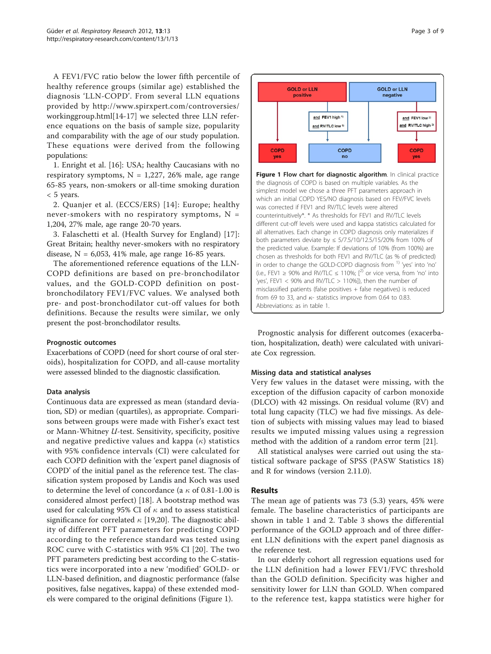<span id="page-2-0"></span>A FEV1/FVC ratio below the lower fifth percentile of healthy reference groups (similar age) established the diagnosis 'LLN-COPD'. From several LLN equations provided by [http://www.spirxpert.com/controversies/](http://www.spirxpert.com/controversies/workinggroup.html) [workinggroup.html](http://www.spirxpert.com/controversies/workinggroup.html)[[14-17](#page-8-0)] we selected three LLN reference equations on the basis of sample size, popularity and comparability with the age of our study population. These equations were derived from the following populations:

1. Enright et al. [[16\]](#page-8-0): USA; healthy Caucasians with no respiratory symptoms,  $N = 1,227, 26\%$  male, age range 65-85 years, non-smokers or all-time smoking duration < 5 years.

2. Quanjer et al. (ECCS/ERS) [[14](#page-8-0)]: Europe; healthy never-smokers with no respiratory symptoms,  $N =$ 1,204, 27% male, age range 20-70 years.

3. Falaschetti et al. (Health Survey for England) [[17](#page-8-0)]: Great Britain; healthy never-smokers with no respiratory disease,  $N = 6,053, 41\%$  male, age range 16-85 years.

The aforementioned reference equations of the LLN-COPD definitions are based on pre-bronchodilator values, and the GOLD-COPD definition on postbronchodilatory FEV1/FVC values. We analysed both pre- and post-bronchodilator cut-off values for both definitions. Because the results were similar, we only present the post-bronchodilator results.

#### Prognostic outcomes

Exacerbations of COPD (need for short course of oral steroids), hospitalization for COPD, and all-cause mortality were assessed blinded to the diagnostic classification.

#### Data analysis

Continuous data are expressed as mean (standard deviation, SD) or median (quartiles), as appropriate. Comparisons between groups were made with Fisher's exact test or Mann-Whitney U-test. Sensitivity, specificity, positive and negative predictive values and kappa  $(\kappa)$  statistics with 95% confidence intervals (CI) were calculated for each COPD definition with the 'expert panel diagnosis of COPD' of the initial panel as the reference test. The classification system proposed by Landis and Koch was used to determine the level of concordance (a  $\kappa$  of 0.81-1.00 is considered almost perfect) [[18](#page-8-0)]. A bootstrap method was used for calculating 95% CI of  $\kappa$  and to assess statistical significance for correlated  $\kappa$  [\[19,20](#page-8-0)]. The diagnostic ability of different PFT parameters for predicting COPD according to the reference standard was tested using ROC curve with C-statistics with 95% CI [[20\]](#page-8-0). The two PFT parameters predicting best according to the C-statistics were incorporated into a new 'modified' GOLD- or LLN-based definition, and diagnostic performance (false positives, false negatives, kappa) of these extended models were compared to the original definitions (Figure 1).



different cut-off levels were used and kappa statistics calculated for all alternatives. Each change in COPD diagnosis only materializes if both parameters deviate by ≤ 5/7.5/10/12.5/15/20% from 100% of the predicted value. Example: If deviations of 10% (from 100%) are chosen as thresholds for both FEV1 and RV/TLC (as % of predicted) in order to change the GOLD-COPD diagnosis from 1) 'yes' into 'no' (i.e., FEV1 ≥ 90% and RV/TLC  $\leq$  110%; [<sup>2)</sup> or vice versa, from 'no' into 'yes', FEV1  $<$  90% and RV/TLC  $>$  110%]), then the number of misclassified patients (false positives + false negatives) is reduced from 69 to 33, and  $\kappa$ - statistics improve from 0.64 to 0.83. Abbreviations: as in table 1.

Prognostic analysis for different outcomes (exacerbation, hospitalization, death) were calculated with univariate Cox regression.

## Missing data and statistical analyses

Very few values in the dataset were missing, with the exception of the diffusion capacity of carbon monoxide (DLCO) with 42 missings. On residual volume (RV) and total lung capacity (TLC) we had five missings. As deletion of subjects with missing values may lead to biased results we imputed missing values using a regression method with the addition of a random error term [\[21](#page-8-0)].

All statistical analyses were carried out using the statistical software package of SPSS (PASW Statistics 18) and R for windows (version 2.11.0).

## Results

The mean age of patients was 73 (5.3) years, 45% were female. The baseline characteristics of participants are shown in table [1](#page-3-0) and [2](#page-3-0). Table [3](#page-4-0) shows the differential performance of the GOLD approach and of three different LLN definitions with the expert panel diagnosis as the reference test.

In our elderly cohort all regression equations used for the LLN definition had a lower FEV1/FVC threshold than the GOLD definition. Specificity was higher and sensitivity lower for LLN than GOLD. When compared to the reference test, kappa statistics were higher for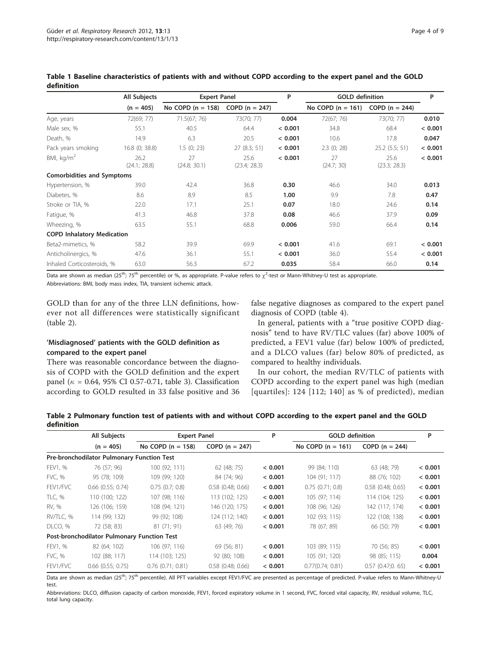|                                   | All Subjects         | <b>Expert Panel</b> |                      | P       | <b>GOLD definition</b> | P                    |         |
|-----------------------------------|----------------------|---------------------|----------------------|---------|------------------------|----------------------|---------|
|                                   | $(n = 405)$          | No COPD $(n = 158)$ | $COPD (n = 247)$     |         | No COPD $(n = 161)$    | COPD $(n = 244)$     |         |
| Age, years                        | 72(69; 77)           | 71.5(67; 76)        | 73(70; 77)           | 0.004   | 72(67; 76)             | 73(70; 77)           | 0.010   |
| Male sex, %                       | 55.1                 | 40.5                | 64.4                 | < 0.001 | 34.8                   | 68.4                 | < 0.001 |
| Death, %                          | 14.9                 | 6.3                 | 20.5                 | < 0.001 | 10.6                   | 17.8                 | 0.047   |
| Pack years smoking                | 16.8 (0; 38.8)       | 1.5(0; 23)          | 27(8.3; 51)          | < 0.001 | $2.3$ (0; 28)          | $25.2$ (5.5; 51)     | < 0.001 |
| BMI, $kg/m2$                      | 26.2<br>(24.1; 28.8) | 27<br>(24.8; 30.1)  | 25.6<br>(23.4; 28.3) | < 0.001 | 27<br>(24.7; 30)       | 25.6<br>(23.3; 28.3) | < 0.001 |
| <b>Comorbidities and Symptoms</b> |                      |                     |                      |         |                        |                      |         |
| Hypertension, %                   | 39.0                 | 42.4                | 36.8                 | 0.30    | 46.6                   | 34.0                 | 0.013   |
| Diabetes, %                       | 8.6                  | 8.9                 | 8.5                  | 1.00    | 9.9                    | 7.8                  | 0.47    |
| Stroke or TIA, %                  | 22.0                 | 17.1                | 25.1                 | 0.07    | 18.0                   | 24.6                 | 0.14    |
| Fatigue, %                        | 41.3                 | 46.8                | 37.8                 | 0.08    | 46.6                   | 37.9                 | 0.09    |
| Wheezing, %                       | 63.5                 | 55.1                | 68.8                 | 0.006   | 59.0                   | 66.4                 | 0.14    |
| <b>COPD Inhalatory Medication</b> |                      |                     |                      |         |                        |                      |         |
| Beta2-mimetics, %                 | 58.2                 | 39.9                | 69.9                 | < 0.001 | 41.6                   | 69.1                 | < 0.001 |
| Anticholinergics, %               | 47.6                 | 36.1                | 55.1                 | < 0.001 | 36.0                   | 55.4                 | < 0.001 |
| Inhaled Corticosteroids, %        | 63.0                 | 56.3                | 67.2                 | 0.035   | 58.4                   | 66.0                 | 0.14    |

<span id="page-3-0"></span>Table 1 Baseline characteristics of patients with and without COPD according to the expert panel and the GOLD definition

Data are shown as median (25<sup>th</sup>; 75<sup>th</sup> percentile) or %, as appropriate. P-value refers to  $\chi^2$ -test or Mann-Whitney-U test as appropriate. Abbreviations: BMI, body mass index, TIA, transient ischemic attack.

GOLD than for any of the three LLN definitions, however not all differences were statistically significant (table 2).

# 'Misdiagnosed' patients with the GOLD definition as compared to the expert panel

There was reasonable concordance between the diagnosis of COPD with the GOLD definition and the expert panel ( $\kappa$  = 0.64, 95% CI 0.57-0.71, table [3](#page-4-0)). Classification according to GOLD resulted in 33 false positive and 36 false negative diagnoses as compared to the expert panel diagnosis of COPD (table [4](#page-4-0)).

In general, patients with a "true positive COPD diagnosis" tend to have RV/TLC values (far) above 100% of predicted, a FEV1 value (far) below 100% of predicted, and a DLCO values (far) below 80% of predicted, as compared to healthy individuals.

In our cohort, the median RV/TLC of patients with COPD according to the expert panel was high (median [quartiles]: 124 [112; 140] as % of predicted), median

| Table 2 Pulmonary function test of patients with and without COPD according to the expert panel and the GOLD |  |  |  |  |  |  |
|--------------------------------------------------------------------------------------------------------------|--|--|--|--|--|--|
| <b>definition</b>                                                                                            |  |  |  |  |  |  |

|               | All Subjects                                | <b>Expert Panel</b>   |                       | P       | <b>GOLD</b> definition |                       | P       |
|---------------|---------------------------------------------|-----------------------|-----------------------|---------|------------------------|-----------------------|---------|
|               | $(n = 405)$                                 | No COPD $(n = 158)$   | $COPD (n = 247)$      |         | No COPD $(n = 161)$    | $COPD (n = 244)$      |         |
|               | Pre-bronchodilator Pulmonary Function Test  |                       |                       |         |                        |                       |         |
| FEV1, %       | 76 (57; 96)                                 | 100 (92; 111)         | 62(48; 75)            | < 0.001 | 99 (84; 110)           | 63 (48; 79)           | < 0.001 |
| FVC, %        | 95 (78; 109)                                | 109 (99; 120)         | 84 (74; 96)           | < 0.001 | 104 (91; 117)          | 88 (76; 102)          | < 0.001 |
| FEV1/FVC      | $0.66$ $(0.55; 0.74)$                       | $0.75$ $(0.7; 0.8)$   | $0.58$ $(0.48; 0.66)$ | < 0.001 | $0.75$ $(0.71; 0.8)$   | $0.58$ $(0.48; 0.65)$ | < 0.001 |
| TLC, %        | 110 (100; 122)                              | 107 (98; 116)         | 113 (102; 125)        | < 0.001 | 105 (97; 114)          | 114 (104; 125)        | < 0.001 |
| RV, %         | 126 (106; 159)                              | 108 (94; 121)         | 146 (120; 175)        | < 0.001 | 108 (96; 126)          | 142 (117; 174)        | < 0.001 |
| RV/TLC, %     | 114 (99; 132)                               | 99 (92; 108)          | 124 (112; 140)        | < 0.001 | 102 (93; 115)          | 122 (108; 138)        | < 0.001 |
| DLCO, %       | 72 (58; 83)                                 | 81 (71; 91)           | 63 (49; 76)           | < 0.001 | 78 (67; 89)            | 66 (50; 79)           | < 0.001 |
|               | Post-bronchodilator Pulmonary Function Test |                       |                       |         |                        |                       |         |
| FEV1, %       | 82 (64; 102)                                | 106 (97; 116)         | 69 (56; 81)           | < 0.001 | 103 (89; 115)          | 70 (56; 85)           | < 0.001 |
| <b>FVC, %</b> | 102 (88; 117)                               | 114 (103; 125)        | 92 (80; 108)          | < 0.001 | 105 (91; 120)          | 98 (85; 115)          | 0.004   |
| FEV1/FVC      | $0.66$ $(0.55; 0.75)$                       | $0.76$ $(0.71; 0.81)$ | $0.58$ $(0.48; 0.66)$ | < 0.001 | 0.77(0.74; 0.81)       | $0.57$ $(0.47;0.65)$  | < 0.001 |

Data are shown as median (25<sup>th</sup>; 75<sup>th</sup> percentile). All PFT variables except FEV1/FVC are presented as percentage of predicted. P-value refers to Mann-Whitney-U test.

Abbreviations: DLCO, diffusion capacity of carbon monoxide, FEV1, forced expiratory volume in 1 second, FVC, forced vital capacity, RV, residual volume, TLC, total lung capacity.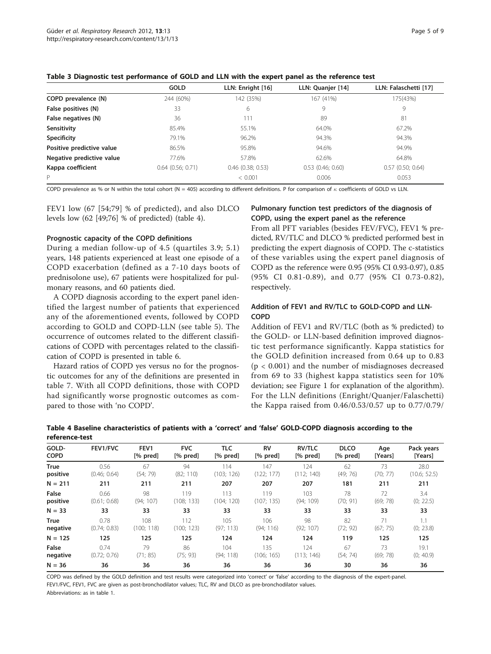|                           | <b>GOLD</b>           | LLN: Enright [16]     | LLN: Quanjer [14]     | LLN: Falaschetti [17] |
|---------------------------|-----------------------|-----------------------|-----------------------|-----------------------|
| COPD prevalence (N)       | 244 (60%)             | 142 (35%)             | 167 (41%)             | 175(43%)              |
| False positives (N)       | 33                    | 6                     | 9                     | 9                     |
| False negatives (N)       | 36                    | 111                   | 89                    | 81                    |
| Sensitivity               | 85.4%                 | 55.1%                 | 64.0%                 | 67.2%                 |
| <b>Specificity</b>        | 79.1%                 | 96.2%                 | 94.3%                 | 94.3%                 |
| Positive predictive value | 86.5%                 | 95.8%                 | 94.6%                 | 94.9%                 |
| Negative predictive value | 77.6%                 | 57.8%                 | 62.6%                 | 64.8%                 |
| Kappa coefficient         | $0.64$ $(0.56; 0.71)$ | $0.46$ $(0.38; 0.53)$ | $0.53$ $(0.46; 0.60)$ | $0.57$ (0.50; 0.64)   |
| P                         |                       | < 0.001               | 0.006                 | 0.053                 |

#### <span id="page-4-0"></span>Table 3 Diagnostic test performance of GOLD and LLN with the expert panel as the reference test

COPD prevalence as % or N within the total cohort (N = 405) according to different definitions. P for comparison of  $\kappa$  coefficients of GOLD vs LLN.

FEV1 low (67 [54;79] % of predicted), and also DLCO levels low (62 [49;76] % of predicted) (table 4).

#### Prognostic capacity of the COPD definitions

During a median follow-up of 4.5 (quartiles 3.9; 5.1) years, 148 patients experienced at least one episode of a COPD exacerbation (defined as a 7-10 days boots of prednisolone use), 67 patients were hospitalized for pulmonary reasons, and 60 patients died.

A COPD diagnosis according to the expert panel identified the largest number of patients that experienced any of the aforementioned events, followed by COPD according to GOLD and COPD-LLN (see table [5](#page-5-0)). The occurrence of outcomes related to the different classifications of COPD with percentages related to the classification of COPD is presented in table [6](#page-5-0).

Hazard ratios of COPD yes versus no for the prognostic outcomes for any of the definitions are presented in table [7](#page-6-0). With all COPD definitions, those with COPD had significantly worse prognostic outcomes as compared to those with 'no COPD'.

## Pulmonary function test predictors of the diagnosis of COPD, using the expert panel as the reference

From all PFT variables (besides FEV/FVC), FEV1 % predicted, RV/TLC and DLCO % predicted performed best in predicting the expert diagnosis of COPD. The c-statistics of these variables using the expert panel diagnosis of COPD as the reference were 0.95 (95% CI 0.93-0.97), 0.85 (95% CI 0.81-0.89), and 0.77 (95% CI 0.73-0.82), respectively.

## Addition of FEV1 and RV/TLC to GOLD-COPD and LLN-COPD

Addition of FEV1 and RV/TLC (both as % predicted) to the GOLD- or LLN-based definition improved diagnostic test performance significantly. Kappa statistics for the GOLD definition increased from 0.64 up to 0.83 (p < 0.001) and the number of misdiagnoses decreased from 69 to 33 (highest kappa statistics seen for 10% deviation; see Figure [1](#page-2-0) for explanation of the algorithm). For the LLN definitions (Enright/Quanjer/Falaschetti) the Kappa raised from 0.46/0.53/0.57 up to 0.77/0.79/

| GOLD-       | FEV1/FVC     | FEV1       | <b>FVC</b> | <b>TLC</b> | <b>RV</b>  | <b>RV/TLC</b> | <b>DLCO</b> | Age      | Pack years   |
|-------------|--------------|------------|------------|------------|------------|---------------|-------------|----------|--------------|
| <b>COPD</b> |              | $[%$ pred] | $[%$ pred] | $[%$ pred] | [% pred]   | [% pred]      | $[%$ pred]  | [Years]  | [Years]      |
| <b>True</b> | 0.56         | 67         | 94         | 114        | 147        | 124           | 62          | 73       | 28.0         |
| positive    | (0.46; 0.64) | (54; 79)   | (82; 110)  | (103; 126) | (122; 177) | (112; 140)    | (49; 76)    | (70; 77) | (10.6; 52.5) |
| $N = 211$   | 211          | 211        | 211        | 207        | 207        | 207           | 181         | 211      | 211          |
| False       | 0.66         | 98         | 119        | 113        | 119        | 103           | 78          | 72       | 3.4          |
| positive    | (0.61; 0.68) | (94:107)   | (108:133)  | (104:120)  | (107; 135) | (94:109)      | (70; 91)    | (69; 78) | (0; 22.5)    |
| $N = 33$    | 33           | 33         | 33         | 33         | 33         | 33            | 33          | 33       | 33           |
| <b>True</b> | 0.78         | 108        | 112        | 105        | 106        | 98            | 82          | 71       |              |
| negative    | (0.74; 0.83) | (100; 118) | (100; 123) | (97; 113)  | (94; 116)  | (92; 107)     | (72; 92)    | (67; 75) | (0; 23.8)    |
| $N = 125$   | 125          | 125        | 125        | 124        | 124        | 124           | 119         | 125      | 125          |
| False       | 0.74         | 79         | 86         | 104        | 135        | 124           | 67          | 73       | 19.1         |
| negative    | (0.72; 0.76) | (71; 85)   | (75; 93)   | (94:118)   | (106; 165) | (113; 146)    | (54; 74)    | (69; 78) | (0; 40.9)    |
| $N = 36$    | 36           | 36         | 36         | 36         | 36         | 36            | 30          | 36       | 36           |

#### Table 4 Baseline characteristics of patients with a 'correct' and 'false' GOLD-COPD diagnosis according to the reference-test

COPD was defined by the GOLD definition and test results were categorized into 'correct' or 'false' according to the diagnosis of the expert-panel. FEV1/FVC, FEV1, FVC are given as post-bronchodilator values; TLC, RV and DLCO as pre-bronchodilator values. Abbreviations: as in table 1.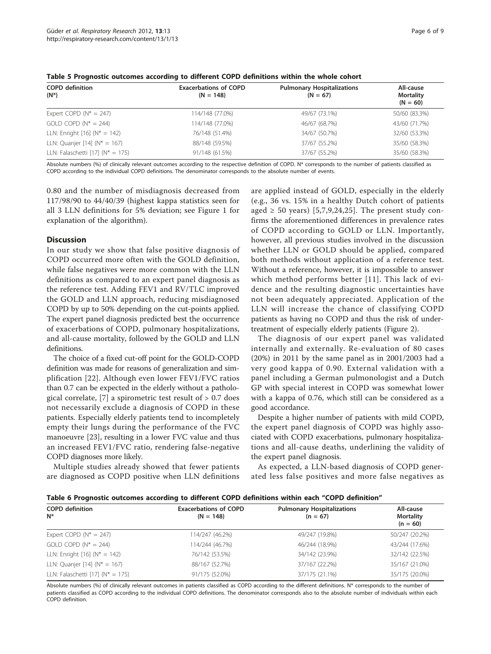| Page 6 of 9 |  |  |
|-------------|--|--|
|             |  |  |

| <b>Exacerbations of COPD</b><br>$(N = 148)$ | <b>Pulmonary Hospitalizations</b><br>$(N = 67)$ | All-cause<br><b>Mortality</b><br>$(N = 60)$ |  |
|---------------------------------------------|-------------------------------------------------|---------------------------------------------|--|
| 114/148 (77.0%)                             | 49/67 (73.1%)                                   | 50/60 (83.3%)                               |  |
| 114/148 (77.0%)                             | 46/67 (68.7%)                                   | 43/60 (71.7%)                               |  |
| 76/148 (51.4%)                              | 34/67 (50.7%)                                   | 32/60 (53.3%)                               |  |
| 88/148 (59.5%)                              | 37/67 (55.2%)                                   | 35/60 (58.3%)                               |  |
| 91/148 (61.5%)                              | 37/67 (55.2%)                                   | 35/60 (58.3%)                               |  |
|                                             |                                                 |                                             |  |

<span id="page-5-0"></span>Table 5 Prognostic outcomes according to different COPD definitions within the whole cohort

Absolute numbers (%) of clinically relevant outcomes according to the respective definition of COPD. N\* corresponds to the number of patients classified as COPD according to the individual COPD definitions. The denominator corresponds to the absolute number of events.

0.80 and the number of misdiagnosis decreased from 117/98/90 to 44/40/39 (highest kappa statistics seen for all 3 LLN definitions for 5% deviation; see Figure [1](#page-2-0) for explanation of the algorithm).

#### **Discussion**

In our study we show that false positive diagnosis of COPD occurred more often with the GOLD definition, while false negatives were more common with the LLN definitions as compared to an expert panel diagnosis as the reference test. Adding FEV1 and RV/TLC improved the GOLD and LLN approach, reducing misdiagnosed COPD by up to 50% depending on the cut-points applied. The expert panel diagnosis predicted best the occurrence of exacerbations of COPD, pulmonary hospitalizations, and all-cause mortality, followed by the GOLD and LLN definitions.

The choice of a fixed cut-off point for the GOLD-COPD definition was made for reasons of generalization and simplification [\[22](#page-8-0)]. Although even lower FEV1/FVC ratios than 0.7 can be expected in the elderly without a pathological correlate,  $[7]$  $[7]$  a spirometric test result of  $> 0.7$  does not necessarily exclude a diagnosis of COPD in these patients. Especially elderly patients tend to incompletely empty their lungs during the performance of the FVC manoeuvre [\[23](#page-8-0)], resulting in a lower FVC value and thus an increased FEV1/FVC ratio, rendering false-negative COPD diagnoses more likely.

Multiple studies already showed that fewer patients are diagnosed as COPD positive when LLN definitions are applied instead of GOLD, especially in the elderly (e.g., 36 vs. 15% in a healthy Dutch cohort of patients aged  $\geq$  [5](#page-7-0)0 years) [5[,7](#page-8-0),[9,24,25](#page-8-0)]. The present study confirms the aforementioned differences in prevalence rates of COPD according to GOLD or LLN. Importantly, however, all previous studies involved in the discussion whether LLN or GOLD should be applied, compared both methods without application of a reference test. Without a reference, however, it is impossible to answer which method performs better [[11\]](#page-8-0). This lack of evidence and the resulting diagnostic uncertainties have not been adequately appreciated. Application of the LLN will increase the chance of classifying COPD patients as having no COPD and thus the risk of undertreatment of especially elderly patients (Figure [2\)](#page-6-0).

The diagnosis of our expert panel was validated internally and externally. Re-evaluation of 80 cases (20%) in 2011 by the same panel as in 2001/2003 had a very good kappa of 0.90. External validation with a panel including a German pulmonologist and a Dutch GP with special interest in COPD was somewhat lower with a kappa of 0.76, which still can be considered as a good accordance.

Despite a higher number of patients with mild COPD, the expert panel diagnosis of COPD was highly associated with COPD exacerbations, pulmonary hospitalizations and all-cause deaths, underlining the validity of the expert panel diagnosis.

As expected, a LLN-based diagnosis of COPD generated less false positives and more false negatives as

| Table 6 Prognostic outcomes according to different COPD definitions within each "COPD definition" |  |  |  |
|---------------------------------------------------------------------------------------------------|--|--|--|
|---------------------------------------------------------------------------------------------------|--|--|--|

| <b>COPD</b> definition<br>$N^*$       | <b>Exacerbations of COPD</b><br>$(N = 148)$ | <b>Pulmonary Hospitalizations</b><br>$(n = 67)$ | All-cause<br><b>Mortality</b> |
|---------------------------------------|---------------------------------------------|-------------------------------------------------|-------------------------------|
|                                       |                                             |                                                 | $(n = 60)$                    |
| Expert COPD $(N^* = 247)$             | 114/247 (46.2%)                             | 49/247 (19.8%)                                  | 50/247 (20.2%)                |
| GOLD COPD ( $N^* = 244$ )             | 114/244 (46.7%)                             | 46/244 (18.9%)                                  | 43/244 (17.6%)                |
| LLN: Enright [16] ( $N^* = 142$ )     | 76/142 (53.5%)                              | 34/142 (23.9%)                                  | 32/142 (22.5%)                |
| LLN: Quanjer [14] $(N^* = 167)$       | 88/167 (52.7%)                              | 37/167 (22.2%)                                  | 35/167 (21.0%)                |
| LLN: Falaschetti [17] ( $N^* = 175$ ) | 91/175 (52.0%)                              | 37/175 (21.1%)                                  | 35/175 (20.0%)                |

Absolute numbers (%) of clinically relevant outcomes in patients classified as COPD according to the different definitions. N\* corresponds to the number of patients classified as COPD according to the individual COPD definitions. The denominator corresponds also to the absolute number of individuals within each COPD definition.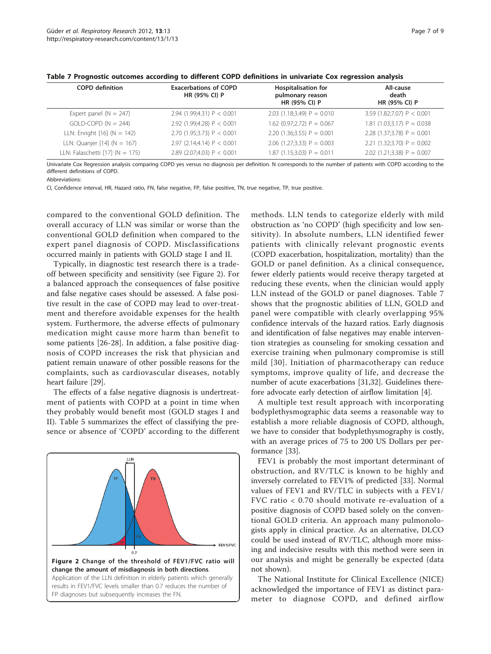| <b>COPD</b> definition            | <b>Exacerbations of COPD</b><br>HR (95% CI) P | <b>Hospitalisation for</b><br>pulmonary reason<br>HR (95% CI) P | All-cause<br>death<br>HR (95% CI) P |
|-----------------------------------|-----------------------------------------------|-----------------------------------------------------------------|-------------------------------------|
| Expert panel ( $N = 247$ )        | 2.94 (1.99;4.31) $P < 0.001$                  | 2.03 (1.18;3.49) $P = 0.010$                                    | 3.59 (1.82;7.07) $P < 0.001$        |
| $GOLD-COPD (N = 244)$             | 2.92 (1.99:4.28) $P < 0.001$                  | 1.62 (0.97;2.72) $P = 0.067$                                    | 1.81 $(1.03;3.17)$ P = 0.038        |
| LLN: Enright $[16]$ (N = 142)     | 2.70 (1.95;3.73) $P < 0.001$                  | 2.20 $(1.36; 3.55)$ P = 0.001                                   | 2.28 $(1.37;3.78)$ P = 0.001        |
| LLN: Quanjer $[14]$ (N = 167)     | 2.97 (2.14;4.14) $P < 0.001$                  | 2.06 $(1.27;3.33)$ P = 0.003                                    | 2.21 $(1.32;3.70)$ P = 0.002        |
| LLN: Falaschetti $[17]$ (N = 175) | 2.89 (2.07;4.03) $P < 0.001$                  | $1.87$ (1.15;3.03) P = 0.011                                    | 2.02 (1.21;3.38) $P = 0.007$        |

<span id="page-6-0"></span>

| Table 7 Prognostic outcomes according to different COPD definitions in univariate Cox regression analysis |  |  |  |  |  |
|-----------------------------------------------------------------------------------------------------------|--|--|--|--|--|
|-----------------------------------------------------------------------------------------------------------|--|--|--|--|--|

Univariate Cox Regression analysis comparing COPD yes versus no diagnosis per definition. N corresponds to the number of patients with COPD according to the different definitions of COPD.

Abbreviations:

CI, Confidence interval, HR, Hazard ratio, FN, false negative, FP, false positive, TN, true negative, TP, true positive.

compared to the conventional GOLD definition. The overall accuracy of LLN was similar or worse than the conventional GOLD definition when compared to the expert panel diagnosis of COPD. Misclassifications occurred mainly in patients with GOLD stage I and II.

Typically, in diagnostic test research there is a tradeoff between specificity and sensitivity (see Figure 2). For a balanced approach the consequences of false positive and false negative cases should be assessed. A false positive result in the case of COPD may lead to over-treatment and therefore avoidable expenses for the health system. Furthermore, the adverse effects of pulmonary medication might cause more harm than benefit to some patients [[26-28](#page-8-0)]. In addition, a false positive diagnosis of COPD increases the risk that physician and patient remain unaware of other possible reasons for the complaints, such as cardiovascular diseases, notably heart failure [[29\]](#page-8-0).

The effects of a false negative diagnosis is undertreatment of patients with COPD at a point in time when they probably would benefit most (GOLD stages I and II). Table [5](#page-5-0) summarizes the effect of classifying the presence or absence of 'COPD' according to the different



methods. LLN tends to categorize elderly with mild obstruction as 'no COPD' (high specificity and low sensitivity). In absolute numbers, LLN identified fewer patients with clinically relevant prognostic events (COPD exacerbation, hospitalization, mortality) than the GOLD or panel definition. As a clinical consequence, fewer elderly patients would receive therapy targeted at reducing these events, when the clinician would apply LLN instead of the GOLD or panel diagnoses. Table 7 shows that the prognostic abilities of LLN, GOLD and panel were compatible with clearly overlapping 95% confidence intervals of the hazard ratios. Early diagnosis and identification of false negatives may enable intervention strategies as counseling for smoking cessation and exercise training when pulmonary compromise is still mild [[30\]](#page-8-0). Initiation of pharmacotherapy can reduce symptoms, improve quality of life, and decrease the number of acute exacerbations [[31,32](#page-8-0)]. Guidelines therefore advocate early detection of airflow limitation [\[4](#page-7-0)].

A multiple test result approach with incorporating bodyplethysmographic data seems a reasonable way to establish a more reliable diagnosis of COPD, although, we have to consider that bodyplethysmography is costly, with an average prices of 75 to 200 US Dollars per performance [\[33](#page-8-0)].

FEV1 is probably the most important determinant of obstruction, and RV/TLC is known to be highly and inversely correlated to FEV1% of predicted [[33\]](#page-8-0). Normal values of FEV1 and RV/TLC in subjects with a FEV1/ FVC ratio < 0.70 should motivate re-evaluation of a positive diagnosis of COPD based solely on the conventional GOLD criteria. An approach many pulmonologists apply in clinical practice. As an alternative, DLCO could be used instead of RV/TLC, although more missing and indecisive results with this method were seen in our analysis and might be generally be expected (data not shown).

The National Institute for Clinical Excellence (NICE) acknowledged the importance of FEV1 as distinct parameter to diagnose COPD, and defined airflow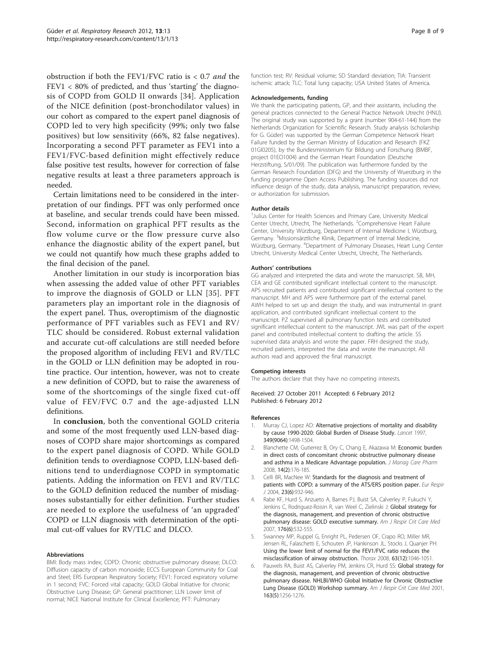<span id="page-7-0"></span>obstruction if both the FEV1/FVC ratio is  $< 0.7$  and the FEV1 < 80% of predicted, and thus 'starting' the diagnosis of COPD from GOLD II onwards [[34](#page-8-0)]. Application of the NICE definition (post-bronchodilator values) in our cohort as compared to the expert panel diagnosis of COPD led to very high specificity (99%; only two false positives) but low sensitivity (66%, 82 false negatives). Incorporating a second PFT parameter as FEV1 into a FEV1/FVC-based definition might effectively reduce false positive test results, however for correction of false negative results at least a three parameters approach is needed.

Certain limitations need to be considered in the interpretation of our findings. PFT was only performed once at baseline, and secular trends could have been missed. Second, information on graphical PFT results as the flow volume curve or the flow pressure curve also enhance the diagnostic ability of the expert panel, but we could not quantify how much these graphs added to the final decision of the panel.

Another limitation in our study is incorporation bias when assessing the added value of other PFT variables to improve the diagnosis of GOLD or LLN [[35](#page-8-0)]. PFT parameters play an important role in the diagnosis of the expert panel. Thus, overoptimism of the diagnostic performance of PFT variables such as FEV1 and RV/ TLC should be considered. Robust external validation and accurate cut-off calculations are still needed before the proposed algorithm of including FEV1 and RV/TLC in the GOLD or LLN definition may be adopted in routine practice. Our intention, however, was not to create a new definition of COPD, but to raise the awareness of some of the shortcomings of the single fixed cut-off value of FEV/FVC 0.7 and the age-adjusted LLN definitions.

In conclusion, both the conventional GOLD criteria and some of the most frequently used LLN-based diagnoses of COPD share major shortcomings as compared to the expert panel diagnosis of COPD. While GOLD definition tends to overdiagnose COPD, LLN-based definitions tend to underdiagnose COPD in symptomatic patients. Adding the information on FEV1 and RV/TLC to the GOLD definition reduced the number of misdiagnoses substantially for either definition. Further studies are needed to explore the usefulness of 'an upgraded' COPD or LLN diagnosis with determination of the optimal cut-off values for RV/TLC and DLCO.

#### Abbreviations

BMI: Body mass index; COPD: Chronic obstructive pulmonary disease; DLCO: Diffusion capacity of carbon monoxide; ECCS European Community for Coal and Steel; ERS European Respiratory Society; FEV1: Forced expiratory volume in 1 second; FVC: Forced vital capacity; GOLD Global Initiative for chronic Obstructive Lung Disease; GP: General practitioner; LLN Lower limit of normal; NICE National Institute for Clinical Excellence; PFT: Pulmonary

function test; RV: Residual volume; SD Standard deviation; TIA: Transient ischemic attack; TLC: Total lung capacity; USA United States of America.

#### Acknowledgements, funding

We thank the participating patients, GP, and their assistants, including the general practices connected to the General Practice Network Utrecht (HNU). The original study was supported by a grant (number 904-61-144) from the Netherlands Organization for Scientific Research. Study analysis (scholarship for G. Güder) was supported by the German Competence Network Heart Failure funded by the German Ministry of Education and Research (FKZ 01GI0205), by the Bundesministerium für Bildung und Forschung (BMBF, project 01EO1004) and the German Heart Foundation (Deutsche Herzstiftung, S/01/09). The publication was furthermore funded by the German Research Foundation (DFG) and the University of Wuerzburg in the funding programme Open Access Publishing. The funding sources did not influence design of the study, data analysis, manuscript preparation, review, or authorization for submission.

#### Author details

<sup>1</sup>Julius Center for Health Sciences and Primary Care, University Medical Center Utrecht, Utrecht, The Netherlands. <sup>2</sup>Comprehensive Heart Failure Center, University Würzburg, Department of Internal Medicine I, Würzburg, Germany. <sup>3</sup>Missionsärztliche Klinik, Department of Internal Medicine, Würzburg, Germany. <sup>4</sup>Department of Pulmonary Diseases, Heart Lung Center Utrecht, University Medical Center Utrecht, Utrecht, The Netherlands.

#### Authors' contributions

GG analyzed and interpreted the data and wrote the manuscript. SB, MH, CEA and GE contributed significant intellectual content to the manuscript. APS recruited patients and contributed significant intellectual content to the manuscript. MH and APS were furthermore part of the external panel. AWH helped to set up and design the study, and was instrumental in grant application, and contributed significant intellectual content to the manuscript. PZ supervised all pulmonary function tests and contributed significant intellectual content to the manuscript. JWL was part of the expert panel and contributed intellectual content to drafting the article. SS supervised data analysis and wrote the paper. FRH designed the study, recruited patients, interpreted the data and wrote the manuscript. All authors read and approved the final manuscript.

#### Competing interests

The authors declare that they have no competing interests.

Received: 27 October 2011 Accepted: 6 February 2012 Published: 6 February 2012

#### References

- Murray CJ, Lopez AD: [Alternative projections of mortality and disability](http://www.ncbi.nlm.nih.gov/pubmed/9167458?dopt=Abstract) [by cause 1990-2020: Global Burden of Disease Study.](http://www.ncbi.nlm.nih.gov/pubmed/9167458?dopt=Abstract) Lancet 1997, 349(9064):1498-1504.
- 2. Blanchette CM, Gutierrez B, Ory C, Chang E, Akazawa M: [Economic burden](http://www.ncbi.nlm.nih.gov/pubmed/18331119?dopt=Abstract) [in direct costs of concomitant chronic obstructive pulmonary disease](http://www.ncbi.nlm.nih.gov/pubmed/18331119?dopt=Abstract) [and asthma in a Medicare Advantage population.](http://www.ncbi.nlm.nih.gov/pubmed/18331119?dopt=Abstract) J Manag Care Pharm 2008, 14(2):176-185.
- Celli BR, MacNee W: [Standards for the diagnosis and treatment of](http://www.ncbi.nlm.nih.gov/pubmed/15219010?dopt=Abstract) [patients with COPD: a summary of the ATS/ERS position paper.](http://www.ncbi.nlm.nih.gov/pubmed/15219010?dopt=Abstract) Eur Respir J 2004, 23(6):932-946.
- 4. Rabe KF, Hurd S, Anzueto A, Barnes PJ, Buist SA, Calverley P, Fukuchi Y, Jenkins C, Rodriguez-Roisin R, van Weel C, Zielinski J: [Global strategy for](http://www.ncbi.nlm.nih.gov/pubmed/17507545?dopt=Abstract) [the diagnosis, management, and prevention of chronic obstructive](http://www.ncbi.nlm.nih.gov/pubmed/17507545?dopt=Abstract) [pulmonary disease: GOLD executive summary.](http://www.ncbi.nlm.nih.gov/pubmed/17507545?dopt=Abstract) Am J Respir Crit Care Med 2007, 176(6):532-555.
- 5. Swanney MP, Ruppel G, Enright PL, Pedersen OF, Crapo RO, Miller MR, Jensen RL, Falaschetti E, Schouten JP, Hankinson JL, Stocks J, Quanjer PH: [Using the lower limit of normal for the FEV1/FVC ratio reduces the](http://www.ncbi.nlm.nih.gov/pubmed/18786983?dopt=Abstract) [misclassification of airway obstruction.](http://www.ncbi.nlm.nih.gov/pubmed/18786983?dopt=Abstract) Thorax 2008, 63(12):1046-1051.
- 6. Pauwels RA, Buist AS, Calverley PM, Jenkins CR, Hurd SS: [Global strategy for](http://www.ncbi.nlm.nih.gov/pubmed/11316667?dopt=Abstract) [the diagnosis, management, and prevention of chronic obstructive](http://www.ncbi.nlm.nih.gov/pubmed/11316667?dopt=Abstract) [pulmonary disease. NHLBI/WHO Global Initiative for Chronic Obstructive](http://www.ncbi.nlm.nih.gov/pubmed/11316667?dopt=Abstract) [Lung Disease \(GOLD\) Workshop summary.](http://www.ncbi.nlm.nih.gov/pubmed/11316667?dopt=Abstract) Am J Respir Crit Care Med 2001, 163(5):1256-1276.